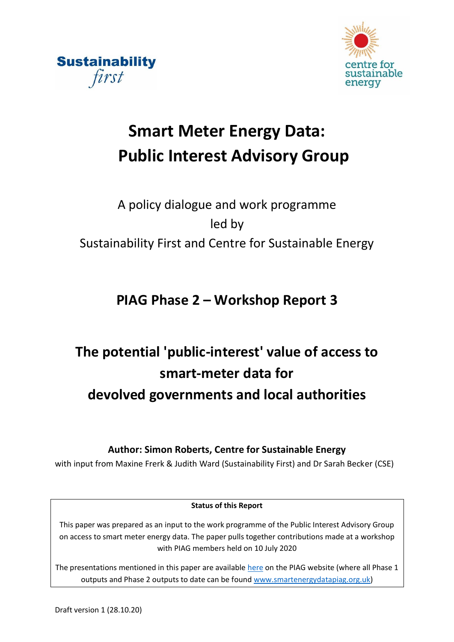



# **Smart Meter Energy Data: Public Interest Advisory Group**

## A policy dialogue and work programme led by Sustainability First and Centre for Sustainable Energy

## **PIAG Phase 2 – Workshop Report 3**

# **The potential 'public-interest' value of access to smart-meter data for devolved governments and local authorities**

**Author: Simon Roberts, Centre for Sustainable Energy**

with input from Maxine Frerk & Judith Ward (Sustainability First) and Dr Sarah Becker (CSE)

## **Status of this Report**

This paper was prepared as an input to the work programme of the Public Interest Advisory Group on access to smart meter energy data. The paper pulls together contributions made at a workshop with PIAG members held on 10 July 2020

The presentations mentioned in this paper are availabl[e here](https://d37809f7-dc9f-4c4f-835a-410a5acfa633.filesusr.com/ugd/ea9deb_98ea90f20d724847b1d342b2652a004b.pdf) on the PIAG website (where all Phase 1 outputs and Phase 2 outputs to date can be found [www.smartenergydatapiag.org.uk\)](http://www.smartenergydatapiag.org.uk/)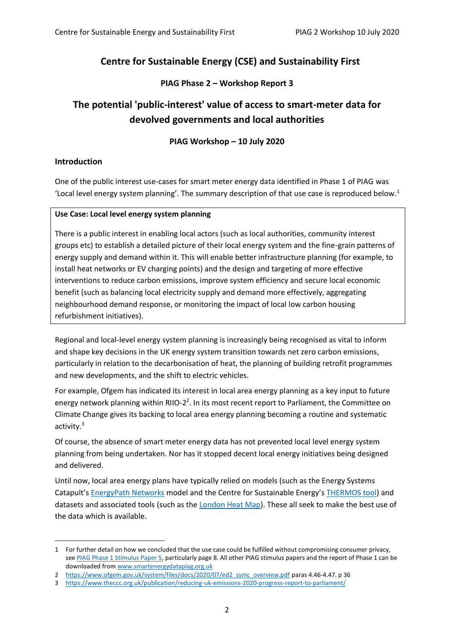## **Centre for Sustainable Energy (CSE) and Sustainability First**

## **PIAG Phase 2 – Workshop Report 3**

## **The potential 'public-interest' value of access to smart-meter data for devolved governments and local authorities**

## **PIAG Workshop – 10 July 2020**

### **Introduction**

1

One of the public interest use-cases for smart meter energy data identified in Phase 1 of PIAG was 'Local level energy system planning'. The summary description of that use case is reproduced below.<sup>1</sup>

### **Use Case: Local level energy system planning**

There is a public interest in enabling local actors (such as local authorities, community interest groups etc) to establish a detailed picture of their local energy system and the fine-grain patterns of energy supply and demand within it. This will enable better infrastructure planning (for example, to install heat networks or EV charging points) and the design and targeting of more effective interventions to reduce carbon emissions, improve system efficiency and secure local economic benefit (such as balancing local electricity supply and demand more effectively, aggregating neighbourhood demand response, or monitoring the impact of local low carbon housing refurbishment initiatives).

Regional and local-level energy system planning is increasingly being recognised as vital to inform and shape key decisions in the UK energy system transition towards net zero carbon emissions, particularly in relation to the decarbonisation of heat, the planning of building retrofit programmes and new developments, and the shift to electric vehicles.

For example, Ofgem has indicated its interest in local area energy planning as a key input to future energy network planning within RIIO-2<sup>2</sup>. In its most recent report to Parliament, the Committee on Climate Change gives its backing to local area energy planning becoming a routine and systematic activity. 3

Of course, the absence of smart meter energy data has not prevented local level energy system planning from being undertaken. Nor has it stopped decent local energy initiatives being designed and delivered.

Until now, local area energy plans have typically relied on models (such as the Energy Systems Catapult's [EnergyPath Networks](https://es.catapult.org.uk/capabilities/modelling/local-energy-system-modelling/) model and the Centre for Sustainable Energy's [THERMOS tool\)](https://www.thermos-project.eu/home/) and datasets and associated tools (such as the [London Heat Map\)](https://maps.london.gov.uk/heatmap). These all seek to make the best use of the data which is available.

<sup>1</sup> For further detail on how we concluded that the use case could be fulfilled without compromising consumer privacy, se[e PIAG Phase 1 Stimulus Paper 5,](https://d37809f7-dc9f-4c4f-835a-410a5acfa633.filesusr.com/ugd/ea9deb_07b59cc120034039bf267650b3cb5ad7.pdf) particularly page 8. All other PIAG stimulus papers and the report of Phase 1 can be downloaded from [www.smartenergydatapiag.org.uk](http://www.smartenergydatapiag.org.uk/)

<sup>2</sup> [https://www.ofgem.gov.uk/system/files/docs/2020/07/ed2\\_ssmc\\_overview.pdf](https://www.ofgem.gov.uk/system/files/docs/2020/07/ed2_ssmc_overview.pdf) paras 4.46-4.47. p 36

<sup>3</sup> <https://www.theccc.org.uk/publication/reducing-uk-emissions-2020-progress-report-to-parliament/>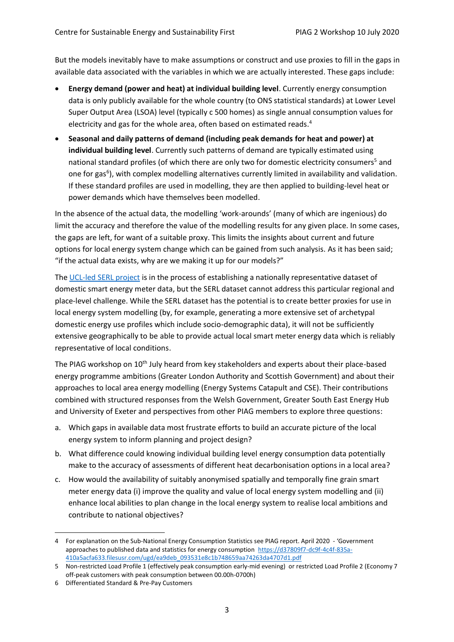But the models inevitably have to make assumptions or construct and use proxies to fill in the gaps in available data associated with the variables in which we are actually interested. These gaps include:

- **Energy demand (power and heat) at individual building level**. Currently energy consumption data is only publicly available for the whole country (to ONS statistical standards) at Lower Level Super Output Area (LSOA) level (typically c 500 homes) as single annual consumption values for electricity and gas for the whole area, often based on estimated reads. 4
- **Seasonal and daily patterns of demand (including peak demands for heat and power) at individual building level**. Currently such patterns of demand are typically estimated using national standard profiles (of which there are only two for domestic electricity consumers<sup>5</sup> and one for gas<sup>6</sup>), with complex modelling alternatives currently limited in availability and validation. If these standard profiles are used in modelling, they are then applied to building-level heat or power demands which have themselves been modelled.

In the absence of the actual data, the modelling 'work-arounds' (many of which are ingenious) do limit the accuracy and therefore the value of the modelling results for any given place. In some cases, the gaps are left, for want of a suitable proxy. This limits the insights about current and future options for local energy system change which can be gained from such analysis. As it has been said; "if the actual data exists, why are we making it up for our models?"

The [UCL-led SERL project](https://serl.ac.uk/) is in the process of establishing a nationally representative dataset of domestic smart energy meter data, but the SERL dataset cannot address this particular regional and place-level challenge. While the SERL dataset has the potential is to create better proxies for use in local energy system modelling (by, for example, generating a more extensive set of archetypal domestic energy use profiles which include socio-demographic data), it will not be sufficiently extensive geographically to be able to provide actual local smart meter energy data which is reliably representative of local conditions.

The PIAG workshop on 10th July heard from key stakeholders and experts about their place-based energy programme ambitions (Greater London Authority and Scottish Government) and about their approaches to local area energy modelling (Energy Systems Catapult and CSE). Their contributions combined with structured responses from the Welsh Government, Greater South East Energy Hub and University of Exeter and perspectives from other PIAG members to explore three questions:

- a. Which gaps in available data most frustrate efforts to build an accurate picture of the local energy system to inform planning and project design?
- b. What difference could knowing individual building level energy consumption data potentially make to the accuracy of assessments of different heat decarbonisation options in a local area?
- c. How would the availability of suitably anonymised spatially and temporally fine grain smart meter energy data (i) improve the quality and value of local energy system modelling and (ii) enhance local abilities to plan change in the local energy system to realise local ambitions and contribute to national objectives?

<u>.</u>

<sup>4</sup> For explanation on the Sub-National Energy Consumption Statistics see PIAG report. April 2020 - 'Government approaches to published data and statistics for energy consumption [https://d37809f7-dc9f-4c4f-835a-](https://d37809f7-dc9f-4c4f-835a-410a5acfa633.filesusr.com/ugd/ea9deb_093531e8c1b748659aa74263da4707d1.pdf)[410a5acfa633.filesusr.com/ugd/ea9deb\\_093531e8c1b748659aa74263da4707d1.pdf](https://d37809f7-dc9f-4c4f-835a-410a5acfa633.filesusr.com/ugd/ea9deb_093531e8c1b748659aa74263da4707d1.pdf)

<sup>5</sup> Non-restricted Load Profile 1 (effectively peak consumption early-mid evening) or restricted Load Profile 2 (Economy 7 off-peak customers with peak consumption between 00.00h-0700h)

<sup>6</sup> Differentiated Standard & Pre-Pay Customers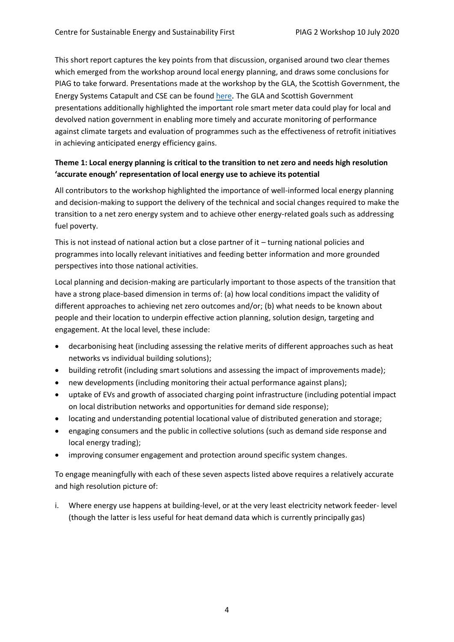This short report captures the key points from that discussion, organised around two clear themes which emerged from the workshop around local energy planning, and draws some conclusions for PIAG to take forward. Presentations made at the workshop by the GLA, the Scottish Government, the Energy Systems Catapult and CSE can be found [here](https://d37809f7-dc9f-4c4f-835a-410a5acfa633.filesusr.com/ugd/ea9deb_98ea90f20d724847b1d342b2652a004b.pdf). The GLA and Scottish Government presentations additionally highlighted the important role smart meter data could play for local and devolved nation government in enabling more timely and accurate monitoring of performance against climate targets and evaluation of programmes such as the effectiveness of retrofit initiatives in achieving anticipated energy efficiency gains.

## **Theme 1: Local energy planning is critical to the transition to net zero and needs high resolution 'accurate enough' representation of local energy use to achieve its potential**

All contributors to the workshop highlighted the importance of well-informed local energy planning and decision-making to support the delivery of the technical and social changes required to make the transition to a net zero energy system and to achieve other energy-related goals such as addressing fuel poverty.

This is not instead of national action but a close partner of it – turning national policies and programmes into locally relevant initiatives and feeding better information and more grounded perspectives into those national activities.

Local planning and decision-making are particularly important to those aspects of the transition that have a strong place-based dimension in terms of: (a) how local conditions impact the validity of different approaches to achieving net zero outcomes and/or; (b) what needs to be known about people and their location to underpin effective action planning, solution design, targeting and engagement. At the local level, these include:

- decarbonising heat (including assessing the relative merits of different approaches such as heat networks vs individual building solutions);
- building retrofit (including smart solutions and assessing the impact of improvements made);
- new developments (including monitoring their actual performance against plans);
- uptake of EVs and growth of associated charging point infrastructure (including potential impact on local distribution networks and opportunities for demand side response);
- locating and understanding potential locational value of distributed generation and storage;
- engaging consumers and the public in collective solutions (such as demand side response and local energy trading);
- improving consumer engagement and protection around specific system changes.

To engage meaningfully with each of these seven aspects listed above requires a relatively accurate and high resolution picture of:

i. Where energy use happens at building-level, or at the very least electricity network feeder- level (though the latter is less useful for heat demand data which is currently principally gas)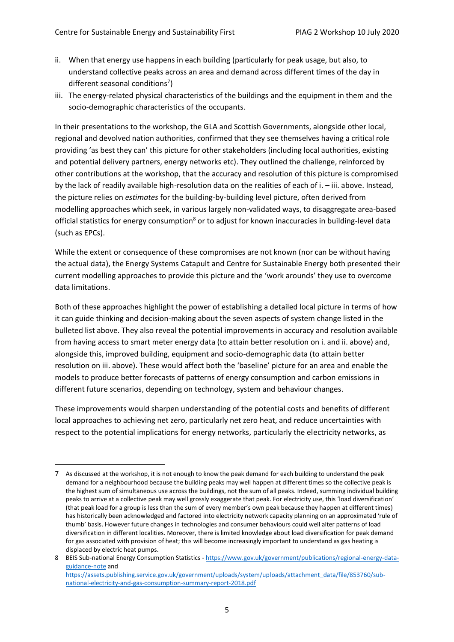- ii. When that energy use happens in each building (particularly for peak usage, but also, to understand collective peaks across an area and demand across different times of the day in different seasonal conditions<sup>7</sup>)
- iii. The energy-related physical characteristics of the buildings and the equipment in them and the socio-demographic characteristics of the occupants.

In their presentations to the workshop, the GLA and Scottish Governments, alongside other local, regional and devolved nation authorities, confirmed that they see themselves having a critical role providing 'as best they can' this picture for other stakeholders (including local authorities, existing and potential delivery partners, energy networks etc). They outlined the challenge, reinforced by other contributions at the workshop, that the accuracy and resolution of this picture is compromised by the lack of readily available high-resolution data on the realities of each of i. – iii. above. Instead, the picture relies on *estimates* for the building-by-building level picture, often derived from modelling approaches which seek, in various largely non-validated ways, to disaggregate area-based official statistics for energy consumption<sup>8</sup> or to adjust for known inaccuracies in building-level data (such as EPCs).

While the extent or consequence of these compromises are not known (nor can be without having the actual data), the Energy Systems Catapult and Centre for Sustainable Energy both presented their current modelling approaches to provide this picture and the 'work arounds' they use to overcome data limitations.

Both of these approaches highlight the power of establishing a detailed local picture in terms of how it can guide thinking and decision-making about the seven aspects of system change listed in the bulleted list above. They also reveal the potential improvements in accuracy and resolution available from having access to smart meter energy data (to attain better resolution on i. and ii. above) and, alongside this, improved building, equipment and socio-demographic data (to attain better resolution on iii. above). These would affect both the 'baseline' picture for an area and enable the models to produce better forecasts of patterns of energy consumption and carbon emissions in different future scenarios, depending on technology, system and behaviour changes.

These improvements would sharpen understanding of the potential costs and benefits of different local approaches to achieving net zero, particularly net zero heat, and reduce uncertainties with respect to the potential implications for energy networks, particularly the electricity networks, as

<sup>&</sup>lt;u>.</u> 7 As discussed at the workshop, it is not enough to know the peak demand for each building to understand the peak demand for a neighbourhood because the building peaks may well happen at different times so the collective peak is the highest sum of simultaneous use across the buildings, not the sum of all peaks. Indeed, summing individual building peaks to arrive at a collective peak may well grossly exaggerate that peak. For electricity use, this 'load diversification' (that peak load for a group is less than the sum of every member's own peak because they happen at different times) has historically been acknowledged and factored into electricity network capacity planning on an approximated 'rule of thumb' basis. However future changes in technologies and consumer behaviours could well alter patterns of load diversification in different localities. Moreover, there is limited knowledge about load diversification for peak demand for gas associated with provision of heat; this will become increasingly important to understand as gas heating is displaced by electric heat pumps.

<sup>8</sup> BEIS Sub-national Energy Consumption Statistics - [https://www.gov.uk/government/publications/regional-energy-data](https://www.gov.uk/government/publications/regional-energy-data-guidance-note)[guidance-note](https://www.gov.uk/government/publications/regional-energy-data-guidance-note) and [https://assets.publishing.service.gov.uk/government/uploads/system/uploads/attachment\\_data/file/853760/sub-](https://assets.publishing.service.gov.uk/government/uploads/system/uploads/attachment_data/file/853760/sub-national-electricity-and-gas-consumption-summary-report-2018.pdf)

[national-electricity-and-gas-consumption-summary-report-2018.pdf](https://assets.publishing.service.gov.uk/government/uploads/system/uploads/attachment_data/file/853760/sub-national-electricity-and-gas-consumption-summary-report-2018.pdf)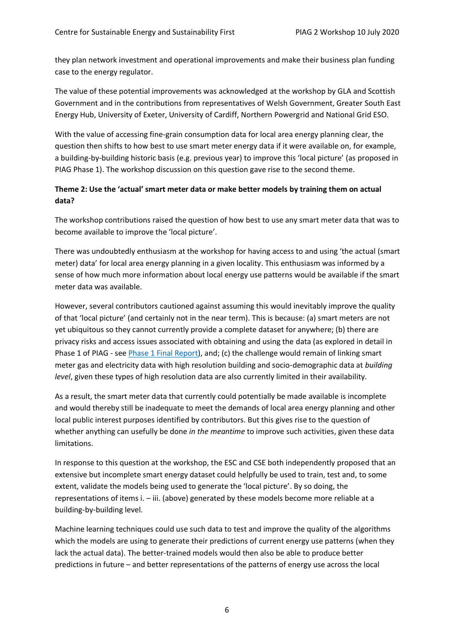they plan network investment and operational improvements and make their business plan funding case to the energy regulator.

The value of these potential improvements was acknowledged at the workshop by GLA and Scottish Government and in the contributions from representatives of Welsh Government, Greater South East Energy Hub, University of Exeter, University of Cardiff, Northern Powergrid and National Grid ESO.

With the value of accessing fine-grain consumption data for local area energy planning clear, the question then shifts to how best to use smart meter energy data if it were available on, for example, a building-by-building historic basis (e.g. previous year) to improve this 'local picture' (as proposed in PIAG Phase 1). The workshop discussion on this question gave rise to the second theme.

## **Theme 2: Use the 'actual' smart meter data or make better models by training them on actual data?**

The workshop contributions raised the question of how best to use any smart meter data that was to become available to improve the 'local picture'.

There was undoubtedly enthusiasm at the workshop for having access to and using 'the actual (smart meter) data' for local area energy planning in a given locality. This enthusiasm was informed by a sense of how much more information about local energy use patterns would be available if the smart meter data was available.

However, several contributors cautioned against assuming this would inevitably improve the quality of that 'local picture' (and certainly not in the near term). This is because: (a) smart meters are not yet ubiquitous so they cannot currently provide a complete dataset for anywhere; (b) there are privacy risks and access issues associated with obtaining and using the data (as explored in detail in Phase 1 of PIAG - see [Phase 1 Final Report\)](https://d37809f7-dc9f-4c4f-835a-410a5acfa633.filesusr.com/ugd/ea9deb_244fa0e7997b43ceb453762d930bab93.pdf), and; (c) the challenge would remain of linking smart meter gas and electricity data with high resolution building and socio-demographic data at *building level*, given these types of high resolution data are also currently limited in their availability.

As a result, the smart meter data that currently could potentially be made available is incomplete and would thereby still be inadequate to meet the demands of local area energy planning and other local public interest purposes identified by contributors. But this gives rise to the question of whether anything can usefully be done *in the meantime* to improve such activities, given these data limitations.

In response to this question at the workshop, the ESC and CSE both independently proposed that an extensive but incomplete smart energy dataset could helpfully be used to train, test and, to some extent, validate the models being used to generate the 'local picture'. By so doing, the representations of items i. – iii. (above) generated by these models become more reliable at a building-by-building level.

Machine learning techniques could use such data to test and improve the quality of the algorithms which the models are using to generate their predictions of current energy use patterns (when they lack the actual data). The better-trained models would then also be able to produce better predictions in future – and better representations of the patterns of energy use across the local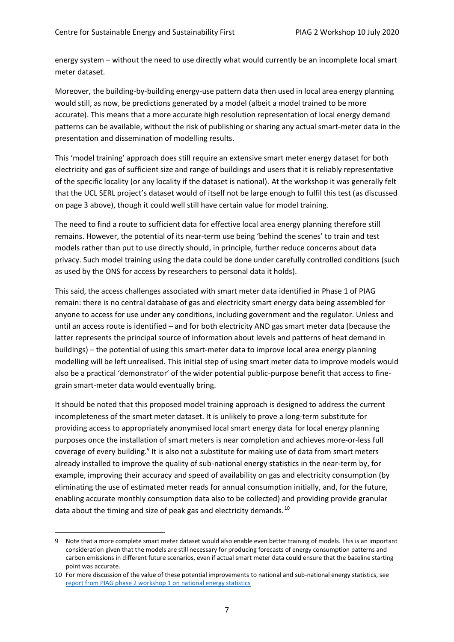energy system – without the need to use directly what would currently be an incomplete local smart meter dataset.

Moreover, the building-by-building energy-use pattern data then used in local area energy planning would still, as now, be predictions generated by a model (albeit a model trained to be more accurate). This means that a more accurate high resolution representation of local energy demand patterns can be available, without the risk of publishing or sharing any actual smart-meter data in the presentation and dissemination of modelling results.

This 'model training' approach does still require an extensive smart meter energy dataset for both electricity and gas of sufficient size and range of buildings and users that it is reliably representative of the specific locality (or any locality if the dataset is national). At the workshop it was generally felt that the UCL SERL project's dataset would of itself not be large enough to fulfil this test (as discussed on page 3 above), though it could well still have certain value for model training.

The need to find a route to sufficient data for effective local area energy planning therefore still remains. However, the potential of its near-term use being 'behind the scenes' to train and test models rather than put to use directly should, in principle, further reduce concerns about data privacy. Such model training using the data could be done under carefully controlled conditions (such as used by the ONS for access by researchers to personal data it holds).

This said, the access challenges associated with smart meter data identified in Phase 1 of PIAG remain: there is no central database of gas and electricity smart energy data being assembled for anyone to access for use under any conditions, including government and the regulator. Unless and until an access route is identified – and for both electricity AND gas smart meter data (because the latter represents the principal source of information about levels and patterns of heat demand in buildings) – the potential of using this smart-meter data to improve local area energy planning modelling will be left unrealised. This initial step of using smart meter data to improve models would also be a practical 'demonstrator' of the wider potential public-purpose benefit that access to finegrain smart-meter data would eventually bring.

It should be noted that this proposed model training approach is designed to address the current incompleteness of the smart meter dataset. It is unlikely to prove a long-term substitute for providing access to appropriately anonymised local smart energy data for local energy planning purposes once the installation of smart meters is near completion and achieves more-or-less full coverage of every building.<sup>9</sup> It is also not a substitute for making use of data from smart meters already installed to improve the quality of sub-national energy statistics in the near-term by, for example, improving their accuracy and speed of availability on gas and electricity consumption (by eliminating the use of estimated meter reads for annual consumption initially, and, for the future, enabling accurate monthly consumption data also to be collected) and providing provide granular data about the timing and size of peak gas and electricity demands.<sup>10</sup>

<u>.</u>

<sup>9</sup> Note that a more complete smart meter dataset would also enable even better training of models. This is an important consideration given that the models are still necessary for producing forecasts of energy consumption patterns and carbon emissions in different future scenarios, even if actual smart meter data could ensure that the baseline starting point was accurate.

<sup>10</sup> For more discussion of the value of these potential improvements to national and sub-national energy statistics, see [report from PIAG phase 2 workshop 1 on national energy statistics](https://d37809f7-dc9f-4c4f-835a-410a5acfa633.filesusr.com/ugd/ea9deb_093531e8c1b748659aa74263da4707d1.pdf)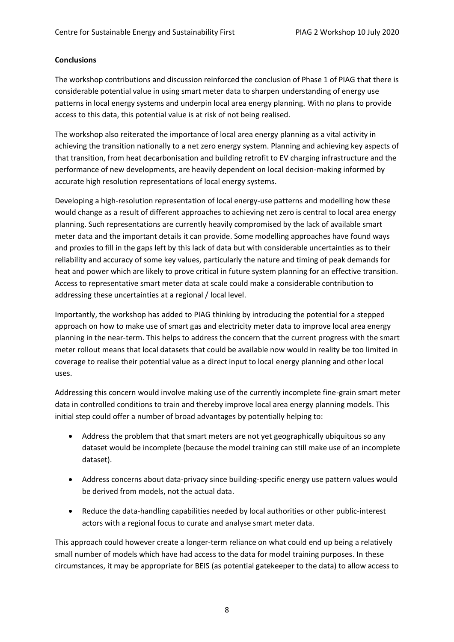#### **Conclusions**

The workshop contributions and discussion reinforced the conclusion of Phase 1 of PIAG that there is considerable potential value in using smart meter data to sharpen understanding of energy use patterns in local energy systems and underpin local area energy planning. With no plans to provide access to this data, this potential value is at risk of not being realised.

The workshop also reiterated the importance of local area energy planning as a vital activity in achieving the transition nationally to a net zero energy system. Planning and achieving key aspects of that transition, from heat decarbonisation and building retrofit to EV charging infrastructure and the performance of new developments, are heavily dependent on local decision-making informed by accurate high resolution representations of local energy systems.

Developing a high-resolution representation of local energy-use patterns and modelling how these would change as a result of different approaches to achieving net zero is central to local area energy planning. Such representations are currently heavily compromised by the lack of available smart meter data and the important details it can provide. Some modelling approaches have found ways and proxies to fill in the gaps left by this lack of data but with considerable uncertainties as to their reliability and accuracy of some key values, particularly the nature and timing of peak demands for heat and power which are likely to prove critical in future system planning for an effective transition. Access to representative smart meter data at scale could make a considerable contribution to addressing these uncertainties at a regional / local level.

Importantly, the workshop has added to PIAG thinking by introducing the potential for a stepped approach on how to make use of smart gas and electricity meter data to improve local area energy planning in the near-term. This helps to address the concern that the current progress with the smart meter rollout means that local datasets that could be available now would in reality be too limited in coverage to realise their potential value as a direct input to local energy planning and other local uses.

Addressing this concern would involve making use of the currently incomplete fine-grain smart meter data in controlled conditions to train and thereby improve local area energy planning models. This initial step could offer a number of broad advantages by potentially helping to:

- Address the problem that that smart meters are not yet geographically ubiquitous so any dataset would be incomplete (because the model training can still make use of an incomplete dataset).
- Address concerns about data-privacy since building-specific energy use pattern values would be derived from models, not the actual data.
- Reduce the data-handling capabilities needed by local authorities or other public-interest actors with a regional focus to curate and analyse smart meter data.

This approach could however create a longer-term reliance on what could end up being a relatively small number of models which have had access to the data for model training purposes. In these circumstances, it may be appropriate for BEIS (as potential gatekeeper to the data) to allow access to